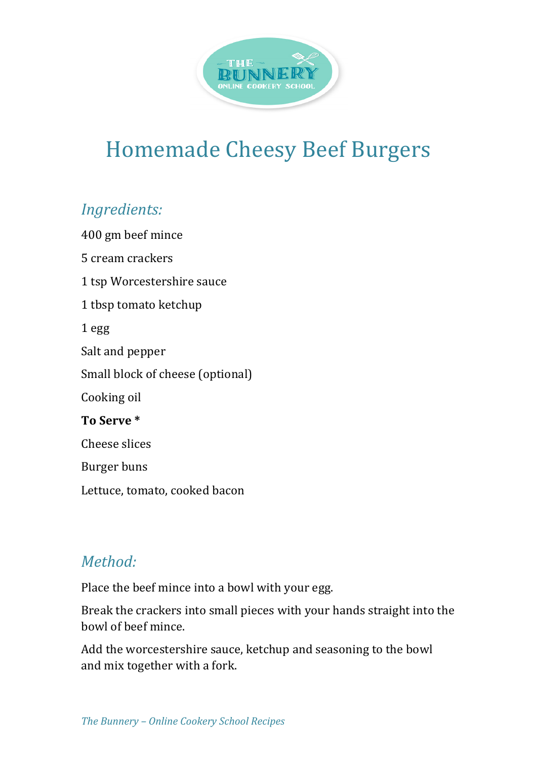

## Homemade Cheesy Beef Burgers

## *Ingredients:*

400 gm beef mince 5 cream crackers 1 tsp Worcestershire sauce 1 tbsp tomato ketchup 1 egg Salt and pepper Small block of cheese (optional) Cooking oil **To Serve \*** Cheese slices Burger buns Lettuce, tomato, cooked bacon

## *Method:*

Place the beef mince into a bowl with your egg.

Break the crackers into small pieces with your hands straight into the bowl of beef mince.

Add the worcestershire sauce, ketchup and seasoning to the bowl and mix together with a fork.